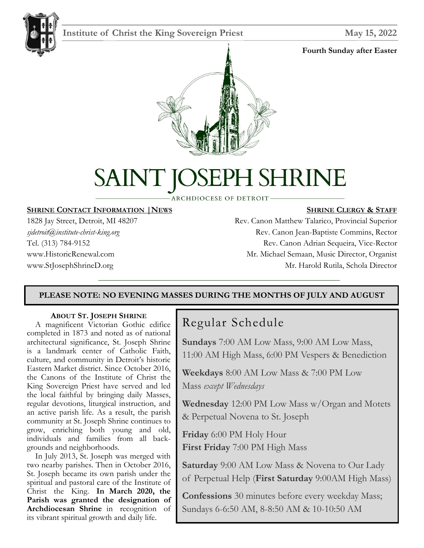

# **Institute of Christ the King Sovereign Priest May 15, 2022**

#### **Fourth Sunday after Easter**



# H SHRINE SAINT K

**ARCHDIOCESE OF DETROIT-**

#### **SHRINE CONTACT INFORMATION |NEWS**

1828 Jay Street, Detroit, MI 48207 *sjdetroit@institute-christ-king.org* Tel. (313) 784-9152 www.HistoricRenewal.com www.StJosephShrineD.org

#### **SHRINE CLERGY & STAFF**

Rev. Canon Matthew Talarico, Provincial Superior Rev. Canon Jean-Baptiste Commins, Rector Rev. Canon Adrian Sequeira, Vice-Rector Mr. Michael Semaan, Music Director, Organist Mr. Harold Rutila, Schola Director

# **PLEASE NOTE: NO EVENING MASSES DURING THE MONTHS OF JULY AND AUGUST**

#### **ABOUT ST. JOSEPH SHRINE**

 A magnificent Victorian Gothic edifice completed in 1873 and noted as of national architectural significance, St. Joseph Shrine is a landmark center of Catholic Faith, culture, and community in Detroit's historic Eastern Market district. Since October 2016, the Canons of the Institute of Christ the King Sovereign Priest have served and led the local faithful by bringing daily Masses, regular devotions, liturgical instruction, and an active parish life. As a result, the parish community at St. Joseph Shrine continues to grow, enriching both young and old, individuals and families from all backgrounds and neighborhoods.

 In July 2013, St. Joseph was merged with two nearby parishes. Then in October 2016, St. Joseph became its own parish under the spiritual and pastoral care of the Institute of Christ the King. **In March 2020, the Parish was granted the designation of Archdiocesan Shrine** in recognition of its vibrant spiritual growth and daily life.

# Regular Schedule

**Sundays** 7:00 AM Low Mass, 9:00 AM Low Mass, 11:00 AM High Mass, 6:00 PM Vespers & Benediction

**Weekdays** 8:00 AM Low Mass & 7:00 PM Low Mass *except Wednesdays*

**Wednesday** 12:00 PM Low Mass w/Organ and Motets & Perpetual Novena to St. Joseph

**Friday** 6:00 PM Holy Hour **First Friday** 7:00 PM High Mass

**Saturday** 9:00 AM Low Mass & Novena to Our Lady of Perpetual Help (**First Saturday** 9:00AM High Mass)

**Confessions** 30 minutes before every weekday Mass; Sundays 6-6:50 AM, 8-8:50 AM & 10-10:50 AM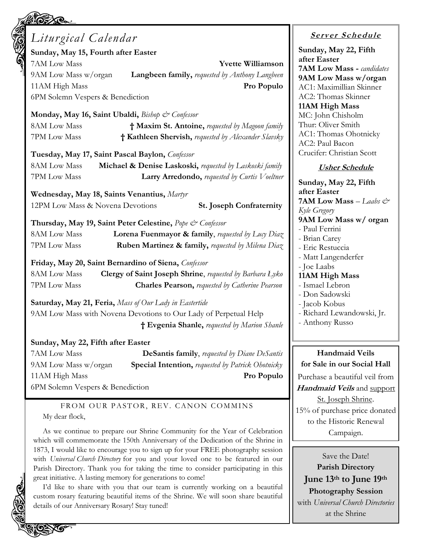| Liturgical Calendar                                                              | <b>Server Schedule</b>                           |
|----------------------------------------------------------------------------------|--------------------------------------------------|
| Sunday, May 15, Fourth after Easter                                              | Sunday, May 22, Fifth                            |
| 7AM Low Mass<br><b>Yvette Williamson</b>                                         | after Easter                                     |
| Langbeen family, requested by Anthony Langbeen<br>9AM Low Mass w/organ           | <b>7AM Low Mass - candidates</b>                 |
| 11AM High Mass<br>Pro Populo                                                     | 9AM Low Mass w/organ<br>AC1: Maximillian Skinner |
| 6PM Solemn Vespers & Benediction                                                 | AC2: Thomas Skinner                              |
|                                                                                  | 11AM High Mass                                   |
| Monday, May 16, Saint Ubaldi, Bishop & Confessor                                 | MC: John Chisholm                                |
| 8AM Low Mass<br>† Maxim St. Antoine, requested by Magoon family                  | Thur: Oliver Smith                               |
| 7PM Low Mass<br>† Kathleen Shervish, requested by Alexander Slavsky              | AC1: Thomas Ohotnicky                            |
|                                                                                  | AC2: Paul Bacon                                  |
| Tuesday, May 17, Saint Pascal Baylon, Confessor                                  | Crucifer: Christian Scott                        |
| <b>8AM Low Mass</b><br>Michael & Denise Laskoski, requested by Laskoski family   | <b>Usher Schedule</b>                            |
| 7PM Low Mass<br>Larry Arredondo, requested by Curtis Voeltner                    | Sunday, May 22, Fifth                            |
|                                                                                  | after Easter                                     |
| Wednesday, May 18, Saints Venantius, Martyr                                      | <b>7AM Low Mass</b> - Laabs $\mathcal{Q}^*$      |
| 12PM Low Mass & Novena Devotions<br><b>St. Joseph Confraternity</b>              | Kyle Gregory                                     |
| Thursday, May 19, Saint Peter Celestine, Pope & Confessor                        | 9AM Low Mass w/ organ                            |
| 8AM Low Mass<br>Lorena Fuenmayor & family, requested by $Luvy$ Diaz              | - Paul Ferrini                                   |
| 7PM Low Mass<br><b>Ruben Martinez &amp; family, requested by Milena Diaz</b>     | - Brian Carey                                    |
|                                                                                  | - Eric Restuccia                                 |
| Friday, May 20, Saint Bernardino of Siena, Confessor                             | - Matt Langenderfer<br>- Joe Laabs               |
| <b>8AM Low Mass</b><br>Clergy of Saint Joseph Shrine, requested by Barbara Lyko  | 11AM High Mass                                   |
| 7PM Low Mass<br><b>Charles Pearson, requested by Catherine Pearson</b>           | - Ismael Lebron                                  |
|                                                                                  | - Don Sadowski                                   |
| <b>Saturday, May 21, Feria, Mass of Our Lady in Eastertide</b>                   | - Jacob Kobus                                    |
| 9AM Low Mass with Novena Devotions to Our Lady of Perpetual Help                 | Richard Lewandowski, Jr.                         |
| † Evgenia Shanle, requested by Marion Shanle                                     | - Anthony Russo                                  |
| Sunday, May 22, Fifth after Easter                                               |                                                  |
| 7AM Low Mass<br><b>DeSantis family, requested by Diane DeSantis</b>              | <b>Handmaid Veils</b>                            |
| 9AM Low Mass w/organ<br><b>Special Intention, requested by Patrick Ohotnicky</b> | for Sale in our Social Hall                      |
| 11AM High Mass<br>Pro Populo                                                     | Purchase a beautiful veil from                   |
| 6PM Solemn Vespers & Benediction                                                 | Handmaid Veils and support                       |
|                                                                                  |                                                  |
| FROM OUR PASTOR, REV. CANON COMMINS                                              | St. Joseph Shrine.                               |
| My dear flock,                                                                   | 15% of purchase price donated                    |
|                                                                                  | to the Historic Renewal                          |

As we continue to prepare our Shrine Community for the Year of Celebration which will commemorate the 150th Anniversary of the Dedication of the Shrine in 1873, I would like to encourage you to sign up for your FREE photography session with *Universal Church Directory* for you and your loved one to be featured in our Parish Directory. Thank you for taking the time to consider participating in this great initiative. A lasting memory for generations to come!

I'd like to share with you that our team is currently working on a beautiful custom rosary featuring beautiful items of the Shrine. We will soon share beautiful details of our Anniversary Rosary! Stay tuned!

**AGE OF** 

**Photography Session** with *Universal Church Directories* at the Shrine

Campaign.

Save the Date! **Parish Directory June 13th to June 19th**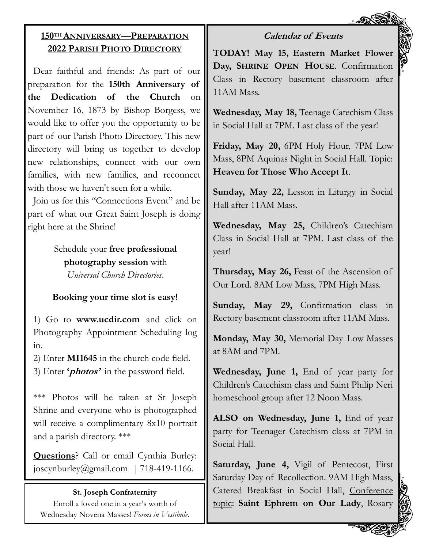# **Calendar of Events**

# **150TH ANNIVERSARY—PREPARATION 2022 PARISH PHOTO DIRECTORY**

Dear faithful and friends: As part of our preparation for the **150th Anniversary of the Dedication of the Church** on November 16, 1873 by Bishop Borgess, we would like to offer you the opportunity to be part of our Parish Photo Directory. This new directory will bring us together to develop new relationships, connect with our own families, with new families, and reconnect with those we haven't seen for a while.

Join us for this "Connections Event" and be part of what our Great Saint Joseph is doing right here at the Shrine!

> Schedule your **free professional photography session** with *Universal Church Directories*.

# **Booking your time slot is easy!**

1) Go to **www.ucdir.com** and click on Photography Appointment Scheduling log in.

2) Enter **MI1645** in the church code field. 3) Enter **'photos'** in the password field.

\*\*\* Photos will be taken at St Joseph Shrine and everyone who is photographed will receive a complimentary 8x10 portrait and a parish directory. \*\*\*

**Questions**? Call or email Cynthia Burley: joscynburley@gmail.com | 718-419-1166.

# **St. Joseph Confraternity**

Enroll a loved one in a year's worth of Wednesday Novena Masses! *Forms in Vestibule*. **TODAY! May 15, Eastern Market Flower Day, SHRINE OPEN HOUSE**. Confirmation Class in Rectory basement classroom after 11AM Mass.

**Wednesday, May 18,** Teenage Catechism Class in Social Hall at 7PM. Last class of the year!

**Friday, May 20,** 6PM Holy Hour, 7PM Low Mass, 8PM Aquinas Night in Social Hall. Topic: **Heaven for Those Who Accept It**.

**Sunday, May 22,** Lesson in Liturgy in Social Hall after 11AM Mass.

**Wednesday, May 25,** Children's Catechism Class in Social Hall at 7PM. Last class of the year!

**Thursday, May 26,** Feast of the Ascension of Our Lord. 8AM Low Mass, 7PM High Mass.

**Sunday, May 29,** Confirmation class in Rectory basement classroom after 11AM Mass.

**Monday, May 30,** Memorial Day Low Masses at 8AM and 7PM.

**Wednesday, June 1,** End of year party for Children's Catechism class and Saint Philip Neri homeschool group after 12 Noon Mass.

**ALSO on Wednesday, June 1,** End of year party for Teenager Catechism class at 7PM in Social Hall.

**Saturday, June 4,** Vigil of Pentecost, First Saturday Day of Recollection. 9AM High Mass, Catered Breakfast in Social Hall, Conference topic: **Saint Ephrem on Our Lady**, Rosary